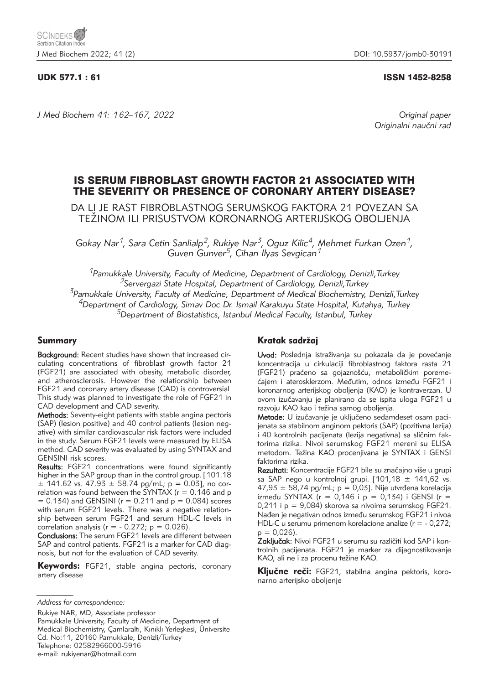# UDK 577.1 : 61 ISSN 1452-8258

*J Med Biochem 41: 162–167, 2022 Original paper*

Originalni naučni rad

# IS SERUM FIBROBLAST GROWTH FACTOR 21 ASSOCIATED WITH THE SEVERITY OR PRESENCE OF CORONARY ARTERY DISEASE?

DA LI JE RAST FIBROBLASTNOG SERUMSKOG FAKTORA 21 POVEZAN SA TEŽINOM ILI PRISUSTVOM KORONARNOG ARTERIJSKOG OBOLJENJA

*Gokay Nar1, Sara Cetin Sanlialp2, Rukiye Nar3, Oguz Kilic4, Mehmet Furkan Ozen1, Guven Gunver5, Cihan Ilyas Sevgican1*

*1Pamukkale University, Faculty of Medicine, Department of Cardiology, Denizli,Turkey 2Servergazi State Hospital, Department of Cardiology, Denizli,Turkey 3Pamukkale University, Faculty of Medicine, Department of Medical Biochemistry, Denizli,Turkey 4Department of Cardiology, Simav Doc Dr. Ismail Karakuyu State Hospital, Kutahya, Turkey 5Department of Biostatistics, Istanbul Medical Faculty, Istanbul, Turkey*

# Summary

Background: Recent studies have shown that increased circulating concentrations of fibroblast growth factor 21 (FGF21) are associated with obesity, metabolic disorder, and atherosclerosis. However the relationship between FGF21 and coronary artery disease (CAD) is controversial This study was planned to investigate the role of FGF21 in CAD development and CAD severity.

Methods: Seventy-eight patients with stable angina pectoris (SAP) (lesion positive) and 40 control patients (lesion negative) with similar cardiovascular risk factors were included in the study. Serum FGF21 levels were measured by ELISA method. CAD severity was evaluated by using SYNTAX and GENSINI risk scores.

**Results:** FGF21 concentrations were found significantly higher in the SAP group than in the control group. [101.18  $\pm$  141.62 vs. 47.93  $\pm$  58.74 pg/mL; p = 0.03], no correlation was found between the SYNTAX ( $r = 0.146$  and p  $= 0.134$ ) and GENSINI (r  $= 0.211$  and  $p = 0.084$ ) scores with serum FGF21 levels. There was a negative relationship between serum FGF21 and serum HDL-C levels in correlation analysis ( $r = -0.272$ ;  $p = 0.026$ ).

Conclusions: The serum FGF21 levels are different between SAP and control patients. FGF21 is a marker for CAD diagnosis, but not for the evaluation of CAD severity.

Keywords: FGF21, stable angina pectoris, coronary artery disease

Rukiye NAR, MD, Associate professor

# Kratak sadržaj

Uvod: Poslednja istraživanja su pokazala da je povećanje koncentracija u cirkulaciji fibroblastnog faktora rasta 21 (FGF21) praćeno sa gojaznošću, metaboličkim poremećajem i aterosklerzom. Međutim, odnos između FGF21 i koronarnog arterijskog oboljenja (KAO) je kontraverzan. U ovom izučavanju je planirano da se ispita uloga FGF21 u razvoju KAO kao i težina samog oboljenja.

Metode: U izučavanje je uključeno sedamdeset osam pacijenata sa stabilnom anginom pektoris (SAP) (pozitivna lezija) i 40 kontrolnih pacijenata (lezija negativna) sa sličnim faktorima rizika. Nivoi serumskog FGF21 mereni su ELISA metodom. Težina KAO procenjivana je SYNTAX i GENSI faktorima rizika.

Rezultati: Koncentracije FGF21 bile su značajno više u grupi sa SAP nego u kontrolnoj grupi. [101,18  $\pm$  141,62 vs.  $47,93 \pm 58,74$  pg/mL; p = 0,03]. Nije utvrđena korelacija između SYNTAX (r = 0,146 i p = 0,134) i GENSI (r = 0,211 i p = 9,084) skorova sa nivoima serumskog FGF21. Nađen je negativan odnos između serumskog FGF21 i nivoa HDL-C u serumu primenom korelacione analize (r = - 0,272;  $p = 0,026$ ).

Zaključak: Nivoi FGF21 u serumu su različiti kod SAP i kontrolnih pacijenata. FGF21 je marker za dijagnostikovanje KAO, ali ne i za procenu težine KAO.

Ključne reči: FGF21, stabilna angina pektoris, koronarno arterijsko oboljenje

*Address for correspondence:*

Pamukkale University, Faculty of Medicine, Department of Medical Biochemistry, Camlaraltı, Kınıklı Yerleskesi, Üniversite Cd. No:11, 20160 Pamukkale, Denizli/Turkey Telephone: 02582966000-5916 e-mail: rukiyenar@hotmail.com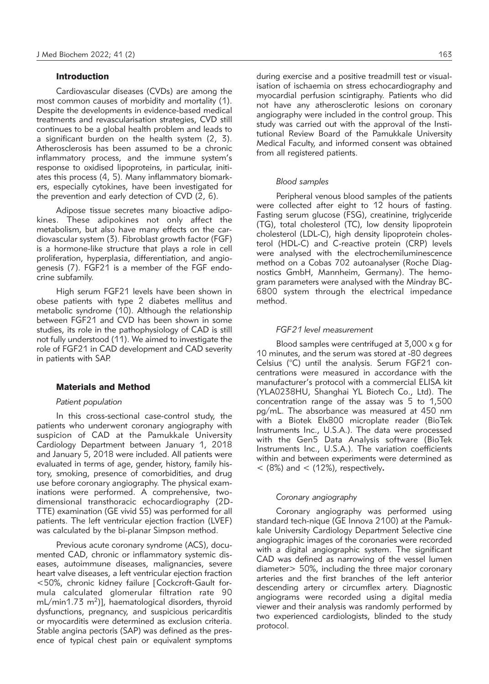# Introduction

Cardiovascular diseases (CVDs) are among the most common causes of morbidity and mortality (1). Despite the developments in evidence-based medical treatments and revascularisation strategies, CVD still continues to be a global health problem and leads to a significant burden on the health system (2, 3). Atherosclerosis has been assumed to be a chronic inflammatory process, and the immune system's response to oxidised lipoproteins, in particular, initiates this process (4, 5). Many inflammatory biomarkers, especially cytokines, have been investigated for the prevention and early detection of CVD (2, 6).

Adipose tissue secretes many bioactive adipokines. These adipokines not only affect the metabolism, but also have many effects on the cardiovascular system (3). Fibroblast growth factor (FGF) is a hormone-like structure that plays a role in cell proliferation, hyperplasia, differentiation, and angiogenesis (7). FGF21 is a member of the FGF endocrine subfamily.

High serum FGF21 levels have been shown in obese patients with type 2 diabetes mellitus and metabolic syndrome (10). Although the relationship between FGF21 and CVD has been shown in some studies, its role in the pathophysiology of CAD is still not fully understood (11). We aimed to investigate the role of FGF21 in CAD development and CAD severity in patients with SAP.

### Materials and Method

#### *Patient population*

In this cross-sectional case-control study, the patients who underwent coronary angiography with suspicion of CAD at the Pamukkale University Cardiology Department between January 1, 2018 and January 5, 2018 were included. All patients were evaluated in terms of age, gender, history, family history, smoking, presence of comorbidities, and drug use before coronary angiography. The physical examinations were performed. A comprehensive, twodimensional transthoracic echocardiography (2D-TTE) examination (GE vivid S5) was performed for all patients. The left ventricular ejection fraction (LVEF) was calculated by the bi-planar Simpson method.

Previous acute coronary syndrome (ACS), documented CAD, chronic or inflammatory systemic diseases, autoimmune diseases, malignancies, severe heart valve diseases, a left ventricular ejection fraction <50%, chronic kidney failure [Cockcroft-Gault formula calculated glomerular filtration rate 90  $mL/min1.73 m<sup>2</sup>)$ ], haematological disorders, thyroid dysfunctions, pregnancy, and suspicious pericarditis or myocarditis were determined as exclusion criteria. Stable angina pectoris (SAP) was defined as the presence of typical chest pain or equivalent symptoms

during exercise and a positive treadmill test or visualisation of ischaemia on stress echocardiography and myocardial perfusion scintigraphy. Patients who did not have any atherosclerotic lesions on coronary angiography were included in the control group. This study was carried out with the approval of the Institutional Review Board of the Pamukkale University Medical Faculty, and informed consent was obtained from all registered patients.

#### *Blood samples*

Peripheral venous blood samples of the patients were collected after eight to 12 hours of fasting. Fasting serum glucose (FSG), creatinine, triglyceride (TG), total cholesterol (TC), low density lipoprotein cholesterol (LDL-C), high density lipoprotein cholesterol (HDL-C) and C-reactive protein (CRP) levels were analysed with the electrochemiluminescence method on a Cobas 702 autoanalyser (Roche Diagnostics GmbH, Mannheim, Germany). The hemogram parameters were analysed with the Mindray BC-6800 system through the electrical impedance method.

#### *FGF21 level measurement*

Blood samples were centrifuged at 3,000 x g for 10 minutes, and the serum was stored at -80 degrees Celsius (°C) until the analysis. Serum FGF21 concentrations were measured in accordance with the manufacturer's protocol with a commercial ELISA kit (YLA0238HU, Shanghai YL Biotech Co., Ltd). The concentration range of the assay was 5 to 1,500 pg/mL. The absorbance was measured at 450 nm with a Biotek Elx800 microplate reader (BioTek Instruments Inc., U.S.A.). The data were processed with the Gen5 Data Analysis software (BioTek Instruments Inc., U.S.A.). The variation coefficients within and between experiments were determined as < (8%) and < (12%), respectively**.**

#### *Coronary angiography*

Coronary angiography was performed using standard tech-nique (GE Innova 2100) at the Pamuk kale University Cardiology Department Selective cine angiographic images of the coronaries were recorded with a digital angiographic system. The significant CAD was defined as narrowing of the vessel lumen diameter> 50%, including the three major coronary arteries and the first branches of the left anterior descending artery or circumflex artery. Diagnostic angiograms were recorded using a digital media viewer and their analysis was randomly performed by two experienced cardiologists, blinded to the study protocol.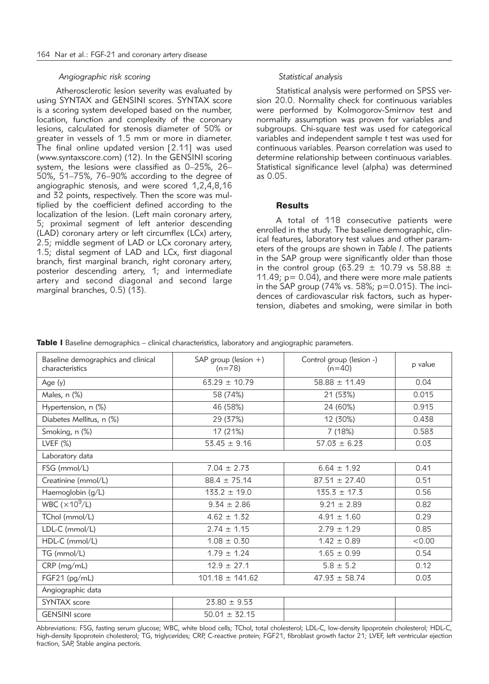#### *Angiographic risk scoring*

Atherosclerotic lesion severity was evaluated by using SYNTAX and GENSINI scores. SYNTAX score is a scoring system developed based on the number, location, function and complexity of the coronary lesions, calculated for stenosis diameter of 50% or greater in vessels of 1.5 mm or more in diameter. The final online updated version [2.11] was used (www.syntaxscore.com) (12). In the GENSINI scoring system, the lesions were classified as 0–25%, 26– 50%, 51–75%, 76–90% according to the degree of angiographic stenosis, and were scored 1,2,4,8,16 and 32 points, respectively. Then the score was multiplied by the coefficient defined according to the localization of the lesion. (Left main coronary artery, 5; proximal segment of left anterior descending (LAD) coronary artery or left circumflex (LCx) artery, 2.5; middle segment of LAD or LCx coronary artery, 1.5; distal segment of LAD and LCx, first diagonal branch, first marginal branch, right coronary artery, posterior descending artery, 1; and intermediate artery and second diagonal and second large marginal branches, 0.5) (13).

#### *Statistical analysis*

Statistical analysis were performed on SPSS version 20.0. Normality check for continuous variables were performed by Kolmogorov-Smirnov test and normality assumption was proven for variables and subgroups. Chi-square test was used for categorical variables and independent sample t test was used for continuous variables. Pearson correlation was used to determine relationship between continuous variables. Statistical significance level (alpha) was determined as 0.05.

### **Results**

A total of 118 consecutive patients were enrolled in the study. The baseline demographic, clinical features, laboratory test values and other parameters of the groups are shown in *Table I*. The patients in the SAP group were significantly older than those in the control group (63.29  $\pm$  10.79 vs 58.88  $\pm$ 11.49;  $p = 0.04$ ), and there were more male patients in the SAP group (74% vs. 58%;  $p=0.015$ ). The incidences of cardiovascular risk factors, such as hypertension, diabetes and smoking, were similar in both

|  |  | Table I Baseline demographics - clinical characteristics, laboratory and angiographic parameters. |  |  |
|--|--|---------------------------------------------------------------------------------------------------|--|--|
|  |  |                                                                                                   |  |  |

| Baseline demographics and clinical<br>characteristics | SAP group (lesion $+$ )<br>$(n=78)$ | Control group (lesion -)<br>$(n=40)$ | p value |  |  |  |
|-------------------------------------------------------|-------------------------------------|--------------------------------------|---------|--|--|--|
| Age (y)                                               | $63.29 \pm 10.79$                   | $58.88 \pm 11.49$                    | 0.04    |  |  |  |
| Males, n (%)                                          | 58 (74%)                            | 21 (53%)                             | 0.015   |  |  |  |
| Hypertension, n (%)                                   | 46 (58%)                            | 24 (60%)                             | 0.915   |  |  |  |
| Diabetes Mellitus, n (%)                              | 29 (37%)                            | 12 (30%)                             | 0.438   |  |  |  |
| Smoking, n (%)                                        | 17 (21%)                            | 7 (18%)                              | 0.583   |  |  |  |
| LVEF $(\%)$                                           | $53.45 \pm 9.16$                    | $57.03 \pm 6.23$                     | 0.03    |  |  |  |
| Laboratory data                                       |                                     |                                      |         |  |  |  |
| FSG (mmol/L)                                          | $7.04 \pm 2.73$                     | $6.64 \pm 1.92$                      | 0.41    |  |  |  |
| Creatinine (mmol/L)                                   | $88.4 \pm 75.14$                    | $87.51 \pm 27.40$                    | 0.51    |  |  |  |
| Haemoglobin (g/L)                                     | $133.2 \pm 19.0$                    | $135.3 \pm 17.3$                     | 0.56    |  |  |  |
| WBC ( $\times$ 10 <sup>9</sup> /L)                    | $9.34 \pm 2.86$                     | $9.21 \pm 2.89$                      | 0.82    |  |  |  |
| TChol (mmol/L)                                        | $4.62 \pm 1.32$                     | $4.91 \pm 1.60$                      | 0.29    |  |  |  |
| LDL-C (mmol/L)                                        | $2.74 \pm 1.15$                     | $2.79 \pm 1.29$                      | 0.85    |  |  |  |
| HDL-C (mmol/L)                                        | $1.08 \pm 0.30$                     | $1.42 \pm 0.89$                      | < 0.00  |  |  |  |
| TG (mmol/L)                                           | $1.79 \pm 1.24$                     | $1.65 \pm 0.99$                      | 0.54    |  |  |  |
| CRP (mg/mL)                                           | $12.9 \pm 27.1$                     | $5.8 \pm 5.2$                        | 0.12    |  |  |  |
| FGF21 (pg/mL)                                         | $101.18 \pm 141.62$                 | $47.93 \pm 58.74$                    | 0.03    |  |  |  |
| Angiographic data                                     |                                     |                                      |         |  |  |  |
| <b>SYNTAX</b> score                                   | $23.80 \pm 9.53$                    |                                      |         |  |  |  |
| <b>GENSINI</b> score                                  | $50.01 \pm 32.15$                   |                                      |         |  |  |  |

Abbreviations: FSG, fasting serum glucose; WBC, white blood cells; TChol, total cholesterol; LDL-C, low-density lipoprotein cholesterol; HDL-C, high-density lipoprotein cholesterol; TG, triglycerides; CRP, C-reactive protein; FGF21, fibroblast growth factor 21; LVEF, left ventricular ejection fraction, SAP, Stable angina pectoris.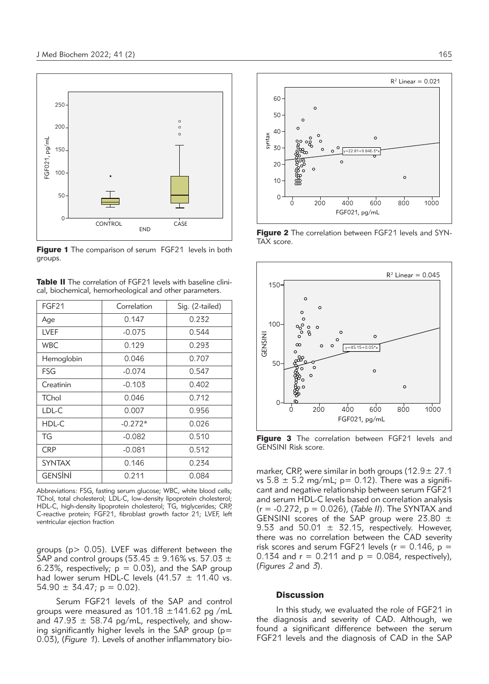

Figure 1 The comparison of serum FGF21 levels in both groups.

| <b>Table II</b> The correlation of FGF21 levels with baseline clini- |
|----------------------------------------------------------------------|
| cal, biochemical, hemorheological and other parameters.              |

| FGF21          | Correlation | Sig. (2-tailed) |  |
|----------------|-------------|-----------------|--|
| Age            | 0.147       | 0.232           |  |
| LVEF           | $-0.075$    | 0.544           |  |
| <b>WBC</b>     | 0.129       | 0.293           |  |
| Hemoglobin     | 0.046       | 0.707           |  |
| <b>FSG</b>     | $-0.074$    | 0.547           |  |
| Creatinin      | $-0.103$    | 0.402           |  |
| <b>TChol</b>   | 0.046       | 0.712           |  |
| LDL-C          | 0.007       | 0.956           |  |
| HDL-C          | $-0.272*$   | 0.026           |  |
| TG             | $-0.082$    | 0.510           |  |
| <b>CRP</b>     | $-0.081$    | 0.512           |  |
| <b>SYNTAX</b>  | 0.146       | 0.234           |  |
| <b>GENSINI</b> | 0.211       | 0.084           |  |

Abbreviations: FSG, fasting serum glucose; WBC, white blood cells; TChol, total cholesterol; LDL-C, low-density lipoprotein cholesterol; HDL-C, high-density lipoprotein cholesterol; TG, triglycerides; CRP, C-reactive protein; FGF21, fibroblast growth factor 21; LVEF, left ventricular ejection fraction

groups ( $p > 0.05$ ). LVEF was different between the SAP and control groups (53.45  $\pm$  9.16% vs. 57.03  $\pm$ 6.23%, respectively;  $p = 0.03$ ), and the SAP group had lower serum HDL-C levels  $(41.57 \pm 11.40 \text{ vs.})$  $54.90 \pm 34.47$ ; p = 0.02).

Serum FGF21 levels of the SAP and control groups were measured as 101.18 ±141.62 pg /mL and  $47.93 \pm 58.74$  pg/mL, respectively, and showing significantly higher levels in the SAP group ( $p=$ 0.03), (*Figure 1*). Levels of another inflammatory bio-



Figure 2 The correlation between FGF21 levels and SYN-TAX score.



Figure 3 The correlation between FGF21 levels and GENSINI Risk score.

marker, CRP, were similar in both groups (12.9 ± 27.1) vs  $5.8 \pm 5.2$  mg/mL; p= 0.12). There was a significant and negative relationship between serum FGF21 and serum HDL-C levels based on correlation analysis (r = -0.272, p = 0.026), (*Table II*). The SYNTAX and GENSINI scores of the SAP group were 23.80 ± 9.53 and 50.01  $\pm$  32.15, respectively. However, there was no correlation between the CAD severity risk scores and serum FGF21 levels ( $r = 0.146$ ,  $p =$ 0.134 and  $r = 0.211$  and  $p = 0.084$ , respectively), (*Figures 2* and *3*).

#### **Discussion**

In this study, we evaluated the role of FGF21 in the diagnosis and severity of CAD. Although, we found a significant difference between the serum FGF21 levels and the diagnosis of CAD in the SAP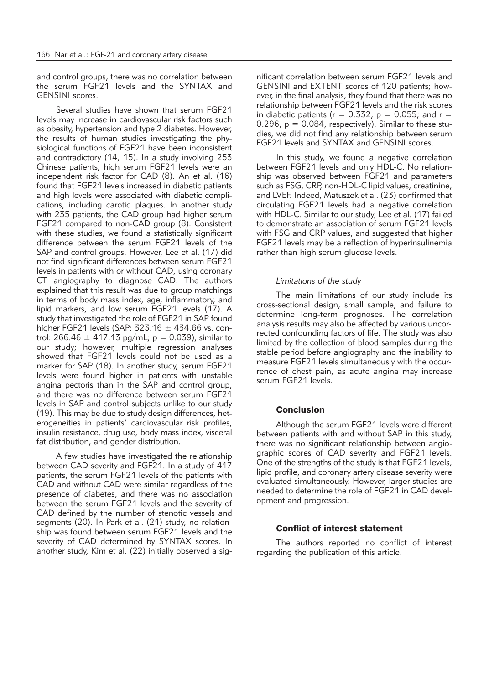and control groups, there was no correlation between the serum FGF21 levels and the SYNTAX and GENSINI scores.

Several studies have shown that serum FGF21 levels may increase in cardiovascular risk factors such as obesity, hypertension and type 2 diabetes. However, the results of human studies investigating the physiological functions of FGF21 have been inconsistent and contradictory (14, 15). In a study involving 253 Chinese patients, high serum FGF21 levels were an independent risk factor for CAD (8). An et al. (16) found that FGF21 levels increased in diabetic patients and high levels were associated with diabetic complications, including carotid plaques. In another study with 235 patients, the CAD group had higher serum FGF21 compared to non-CAD group (8). Consistent with these studies, we found a statistically significant difference between the serum FGF21 levels of the SAP and control groups. However, Lee et al. (17) did not find significant differences between serum FGF21 levels in patients with or without CAD, using coronary CT angiography to diagnose CAD. The authors explained that this result was due to group matchings in terms of body mass index, age, inflammatory, and lipid markers, and low serum FGF21 levels (17). A study that investigated the role of FGF21 in SAP found higher FGF21 levels (SAP:  $323.16 \pm 434.66$  vs. control: 266.46  $\pm$  417.13 pg/mL; p = 0.039), similar to our study; however, multiple regression analyses showed that FGF21 levels could not be used as a marker for SAP (18). In another study, serum FGF21 levels were found higher in patients with unstable angina pectoris than in the SAP and control group, and there was no difference between serum FGF21 levels in SAP and control subiects unlike to our study (19). This may be due to study design differences, heterogeneities in patients' cardiovascular risk profiles, insulin resistance, drug use, body mass index, visceral fat distribution, and gender distribution.

A few studies have investigated the relationship between CAD severity and FGF21. In a study of 417 patients, the serum FGF21 levels of the patients with CAD and without CAD were similar regardless of the presence of diabetes, and there was no association between the serum FGF21 levels and the severity of CAD defined by the number of stenotic vessels and segments (20). In Park et al. (21) study, no relationship was found between serum FGF21 levels and the severity of CAD determined by SYNTAX scores. In another study, Kim et al. (22) initially observed a significant correlation between serum FGF21 levels and GENSINI and EXTENT scores of 120 patients; however, in the final analysis, they found that there was no relationship between FGF21 levels and the risk scores in diabetic patients ( $r = 0.332$ ,  $p = 0.055$ ; and  $r =$ 0.296,  $p = 0.084$ , respectively). Similar to these studies, we did not find any relationship between serum FGF21 levels and SYNTAX and GENSINI scores.

In this study, we found a negative correlation between FGF21 levels and only HDL-C. No relationship was observed between FGF21 and parameters such as FSG, CRP, non-HDL-C lipid values, creatinine, and LVEF. Indeed, Matuszek et al. (23) confirmed that circulating FGF21 levels had a negative correlation with HDL-C. Similar to our study, Lee et al. (17) failed to demonstrate an association of serum FGF21 levels with FSG and CRP values, and suggested that higher FGF21 levels may be a reflection of hyperinsulinemia rather than high serum glucose levels.

# *Limitations of the study*

The main limitations of our study include its cross-sectional design, small sample, and failure to determine long-term prognoses. The correlation analysis results may also be affected by various uncorrected confounding factors of life. The study was also limited by the collection of blood samples during the stable period before angiography and the inability to measure FGF21 levels simultaneously with the occurrence of chest pain, as acute angina may increase serum FGF21 levels.

#### **Conclusion**

Although the serum FGF21 levels were different between patients with and without SAP in this study, there was no significant relationship between angiographic scores of CAD severity and FGF21 levels. One of the strengths of the study is that FGF21 levels, lipid profile, and coronary artery disease severity were evaluated simultaneously. However, larger studies are needed to determine the role of FGF21 in CAD development and progression.

# Conflict of interest statement

The authors reported no conflict of interest regarding the publication of this article.